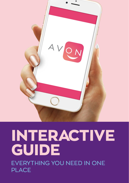

## **INTERACTIVE GUIDE** EVERYTHING YOU NEED IN ONE PLACE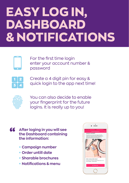# **EASY LOG IN, DASHBOARD & NOTIFICATIONS**



For the first time login enter your account number & password



Create a 4 digit pin for easy & quick login to the app next time!



You can also decide to enable your fingerprint for the future logins. It is really up to you!

- **After loging in you will see the Dashboard containing the information:**
	- **Campaign number**
	- **Order untill date**
	- **Sharable brochures**
	- **Notications & menu**

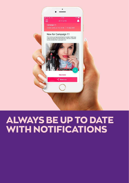

#### **ALWAYS BE UP TO DATE WITH NOTIFICATIONS**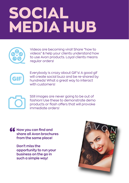# **SOCIAL MEDIA HUB**



Videos are becoming viral! Share "how to videos" & help your clients understand how to use Avon products. Loyal clients means regular orders!



Everybody is crazy about GIF's! A good gif will create social buzz and be re-shared by hundreds! What a great way to interact with customers!



Still images are never going to be out of fashion! Use these to demonstrate demo products or flash offers that will provoke immediate orders!

**16** Now you can find and<br>share all Avon brochu<br>from the same place! **share all Avon brochures from the same place!**

> **Don't miss the opportunity to run your business on the go in such a simple way!**

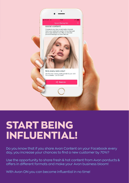

### **START BEING INFLUENTIAL!**

Do you know that if you share Avon Content on your Facebook every day, you increase your chances to find a new customer by 70%?

Use the opportunity to share fresh & hot content from Avon porducts & offers in different formats and make your Avon business bloom!

With Avon ON you can become influential in no time!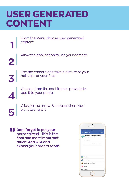#### **USER GENERATED CONTENT**

From the Menu choose User generated content **1**

Allow the application to use your camera

**2**

Use the camera and take a picture of your **3** nails, lips or your face

Choose from the cool frames provided & **4** add it to your photo

Click on the arrow & choose where you **5** want to share it

**66** Dont forget to put your<br>personal text - this is the<br>final and most importar **personal text - this is the nal and most important touch! Add CTA and expect your orders soon!**

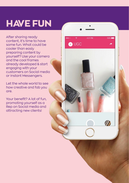## **HAVE FUN**

After sharing ready content, it's time to have some fun. What could be cooler than easly preparing content by yourself? Use your camera and the cool frames already developed & start engaging with your customers on Social media or Instant Messengers.

4:21 PM

**O**UGC

100%

11

Let the whole world to see how creative and fab you are.

Your benefit? A lot of fun. promoting yourself as a Rep on Social media and attracting new clients!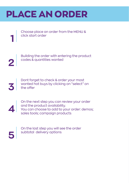#### **PLACE AN ORDER**

Choose place an order from the MENU & click start order

Building the order with entering the product **2** codes & quantities wanted

Dont forget to check & order your most wanted hot buys by clicking on "select" on the offer

On the next step you can review your order and the product availability. You can choose to add to your order: demos;<br>sales tools; campaign products

On the last step you will see the order subtotal delivery options **5**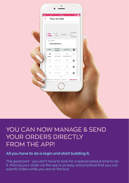| <br>$\widehat{\mathcal{R}}$<br>4:21 PM<br>$100\%$<br>$\times$ Place An Order                    |
|-------------------------------------------------------------------------------------------------|
| DELIVERY<br>$7$ add $2$ hot $3$ review<br>$\perp$ &<br>SUBTOTAL                                 |
| CUSTOMER<br>AVON REPRES.T<br>PRODUCT<br>QUANTITY<br>會<br>CAMP<br>NUMBER                         |
| $2\tau$<br>$\,0\,$<br>-----------<br>O<br>$\,0\,$<br>$2\pi$<br>×<br>$\mathbb O$<br>$2\pi$<br>L. |
| $2\pi$<br>$\mathbf 0$<br>п<br>⋏<br>CAMPAIGN: 2 PRODUCTS: 0 UNITS: 0<br><b>VIEW ORDER</b>        |
|                                                                                                 |
|                                                                                                 |

#### YOU CAN NOW MANAGE & SEND YOUR ORDERS DIRECTLY FROM THE APP!

#### **All you have to do is login and start building it.**

The good part - you don't have to look for a special place & time to do it. Placing your order via the app is so easy and practical that you can submit orders while you are on the bus!